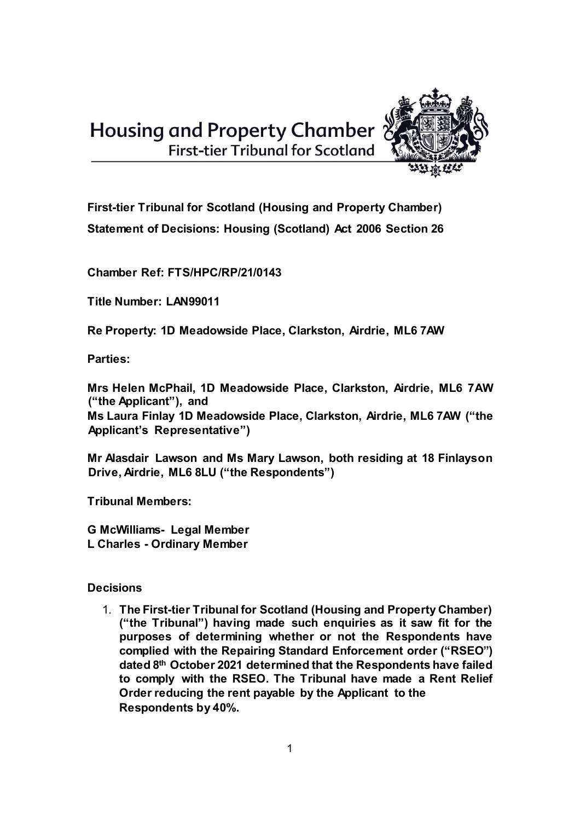**Housing and Property Chamber** First-tier Tribunal for Scotland



**First-tier Tribunal for Scotland (Housing and Property Chamber)** 

**Statement of Decisions: Housing (Scotland) Act 2006 Section 26** 

**Chamber Ref: FTS/HPC/RP/21/0143** 

**Title Number: LAN99011** 

**Re Property: 1D Meadowside Place, Clarkston, Airdrie, ML6 7AW** 

**Parties:** 

**Mrs Helen McPhail, 1D Meadowside Place, Clarkston, Airdrie, ML6 7AW ("the Applicant"), and** 

**Ms Laura Finlay 1D Meadowside Place, Clarkston, Airdrie, ML6 7AW ("the Applicant's Representative")** 

**Mr Alasdair Lawson and Ms Mary Lawson, both residing at 18 Finlayson Drive, Airdrie, ML6 8LU ("the Respondents")** 

**Tribunal Members:** 

**G McWilliams- Legal Member L Charles - Ordinary Member** 

**Decisions** 

1. **The First-tier Tribunal for Scotland (Housing and Property Chamber) ("the Tribunal") having made such enquiries as it saw fit for the purposes of determining whether or not the Respondents have complied with the Repairing Standard Enforcement order ("RSEO") dated 8th October 2021 determined that the Respondents have failed to comply with the RSEO. The Tribunal have made a Rent Relief Order reducing the rent payable by the Applicant to the Respondents by 40%.**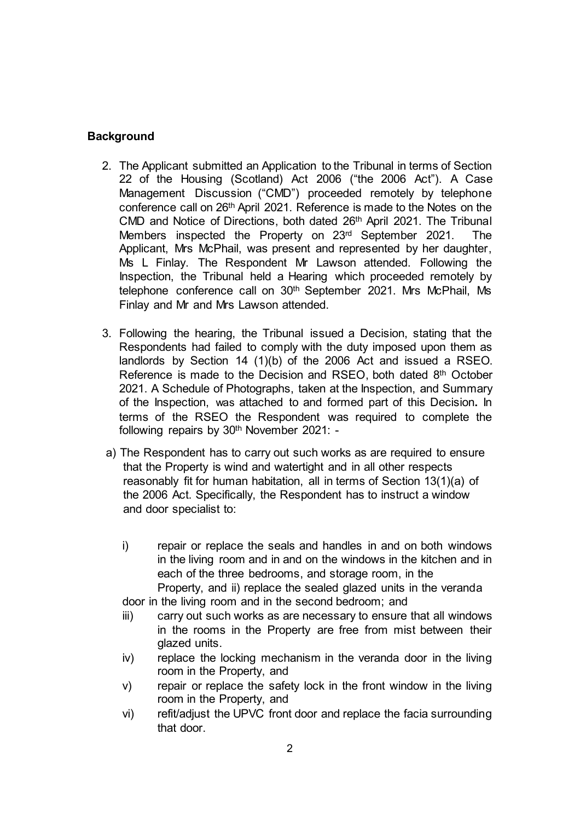## **Background**

- 2. The Applicant submitted an Application to the Tribunal in terms of Section 22 of the Housing (Scotland) Act 2006 ("the 2006 Act"). A Case Management Discussion ("CMD") proceeded remotely by telephone conference call on 26th April 2021. Reference is made to the Notes on the CMD and Notice of Directions, both dated 26<sup>th</sup> April 2021. The Tribunal Members inspected the Property on 23rd September 2021. The Applicant, Mrs McPhail, was present and represented by her daughter, Ms L Finlay. The Respondent Mr Lawson attended. Following the Inspection, the Tribunal held a Hearing which proceeded remotely by telephone conference call on 30<sup>th</sup> September 2021. Mrs McPhail, Ms Finlay and Mr and Mrs Lawson attended.
- 3. Following the hearing, the Tribunal issued a Decision, stating that the Respondents had failed to comply with the duty imposed upon them as landlords by Section 14 (1)(b) of the 2006 Act and issued a RSEO. Reference is made to the Decision and RSEO, both dated 8th October 2021. A Schedule of Photographs, taken at the Inspection, and Summary of the Inspection, was attached to and formed part of this Decision**.** In terms of the RSEO the Respondent was required to complete the following repairs by 30<sup>th</sup> November 2021: -
- a) The Respondent has to carry out such works as are required to ensure that the Property is wind and watertight and in all other respects reasonably fit for human habitation, all in terms of Section 13(1)(a) of the 2006 Act. Specifically, the Respondent has to instruct a window and door specialist to:
	- i) repair or replace the seals and handles in and on both windows in the living room and in and on the windows in the kitchen and in each of the three bedrooms, and storage room, in the Property, and ii) replace the sealed glazed units in the veranda

door in the living room and in the second bedroom; and

- iii) carry out such works as are necessary to ensure that all windows in the rooms in the Property are free from mist between their glazed units.
- iv) replace the locking mechanism in the veranda door in the living room in the Property, and
- v) repair or replace the safety lock in the front window in the living room in the Property, and
- vi) refit/adjust the UPVC front door and replace the facia surrounding that door.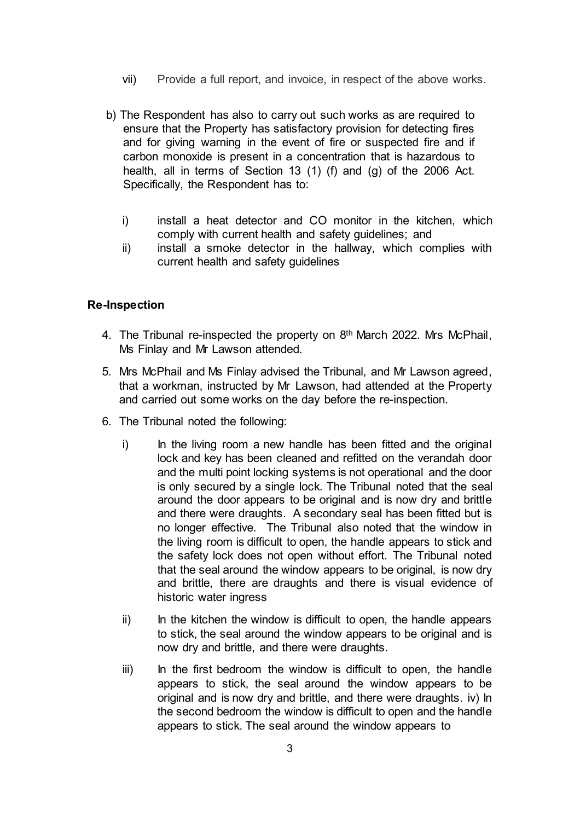- vii) Provide a full report, and invoice, in respect of the above works.
- b) The Respondent has also to carry out such works as are required to ensure that the Property has satisfactory provision for detecting fires and for giving warning in the event of fire or suspected fire and if carbon monoxide is present in a concentration that is hazardous to health, all in terms of Section 13 (1) (f) and (g) of the 2006 Act. Specifically, the Respondent has to:
	- i) install a heat detector and CO monitor in the kitchen, which comply with current health and safety guidelines; and
	- ii) install a smoke detector in the hallway, which complies with current health and safety guidelines

## **Re-Inspection**

- 4. The Tribunal re-inspected the property on 8<sup>th</sup> March 2022. Mrs McPhail, Ms Finlay and Mr Lawson attended.
- 5. Mrs McPhail and Ms Finlay advised the Tribunal, and Mr Lawson agreed, that a workman, instructed by Mr Lawson, had attended at the Property and carried out some works on the day before the re-inspection.
- 6. The Tribunal noted the following:
	- i) In the living room a new handle has been fitted and the original lock and key has been cleaned and refitted on the verandah door and the multi point locking systems is not operational and the door is only secured by a single lock. The Tribunal noted that the seal around the door appears to be original and is now dry and brittle and there were draughts. A secondary seal has been fitted but is no longer effective. The Tribunal also noted that the window in the living room is difficult to open, the handle appears to stick and the safety lock does not open without effort. The Tribunal noted that the seal around the window appears to be original, is now dry and brittle, there are draughts and there is visual evidence of historic water ingress
	- $\mathbf{i}$  In the kitchen the window is difficult to open, the handle appears to stick, the seal around the window appears to be original and is now dry and brittle, and there were draughts.
	- iii) In the first bedroom the window is difficult to open, the handle appears to stick, the seal around the window appears to be original and is now dry and brittle, and there were draughts. iv) In the second bedroom the window is difficult to open and the handle appears to stick. The seal around the window appears to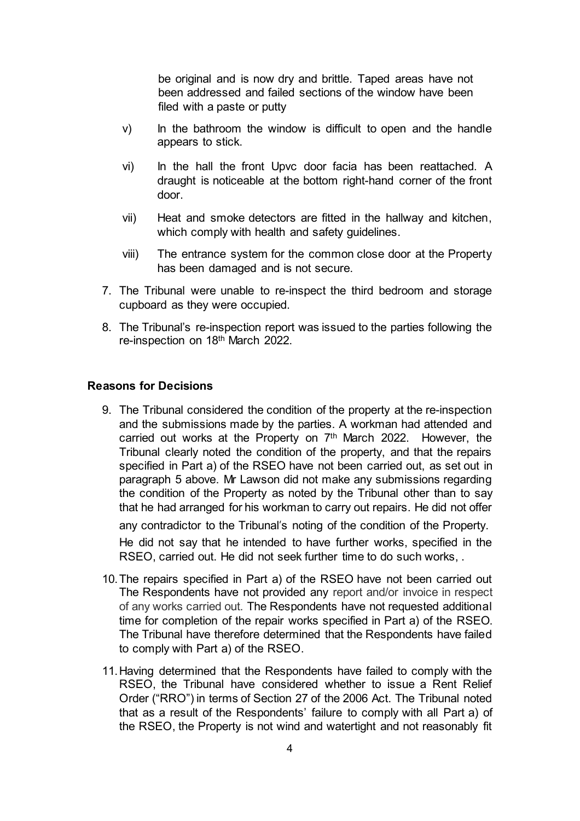be original and is now dry and brittle. Taped areas have not been addressed and failed sections of the window have been filed with a paste or putty

- v) In the bathroom the window is difficult to open and the handle appears to stick.
- vi) In the hall the front Upvc door facia has been reattached. A draught is noticeable at the bottom right-hand corner of the front door.
- vii) Heat and smoke detectors are fitted in the hallway and kitchen, which comply with health and safety guidelines.
- viii) The entrance system for the common close door at the Property has been damaged and is not secure.
- 7. The Tribunal were unable to re-inspect the third bedroom and storage cupboard as they were occupied.
- 8. The Tribunal's re-inspection report was issued to the parties following the re-inspection on 18th March 2022.

#### **Reasons for Decisions**

9. The Tribunal considered the condition of the property at the re-inspection and the submissions made by the parties. A workman had attended and carried out works at the Property on 7<sup>th</sup> March 2022. However, the Tribunal clearly noted the condition of the property, and that the repairs specified in Part a) of the RSEO have not been carried out, as set out in paragraph 5 above. Mr Lawson did not make any submissions regarding the condition of the Property as noted by the Tribunal other than to say that he had arranged for his workman to carry out repairs. He did not offer any contradictor to the Tribunal's noting of the condition of the Property.

He did not say that he intended to have further works, specified in the RSEO, carried out. He did not seek further time to do such works, .

- 10.The repairs specified in Part a) of the RSEO have not been carried out The Respondents have not provided any report and/or invoice in respect of any works carried out. The Respondents have not requested additional time for completion of the repair works specified in Part a) of the RSEO. The Tribunal have therefore determined that the Respondents have failed to comply with Part a) of the RSEO.
- 11.Having determined that the Respondents have failed to comply with the RSEO, the Tribunal have considered whether to issue a Rent Relief Order ("RRO") in terms of Section 27 of the 2006 Act. The Tribunal noted that as a result of the Respondents' failure to comply with all Part a) of the RSEO, the Property is not wind and watertight and not reasonably fit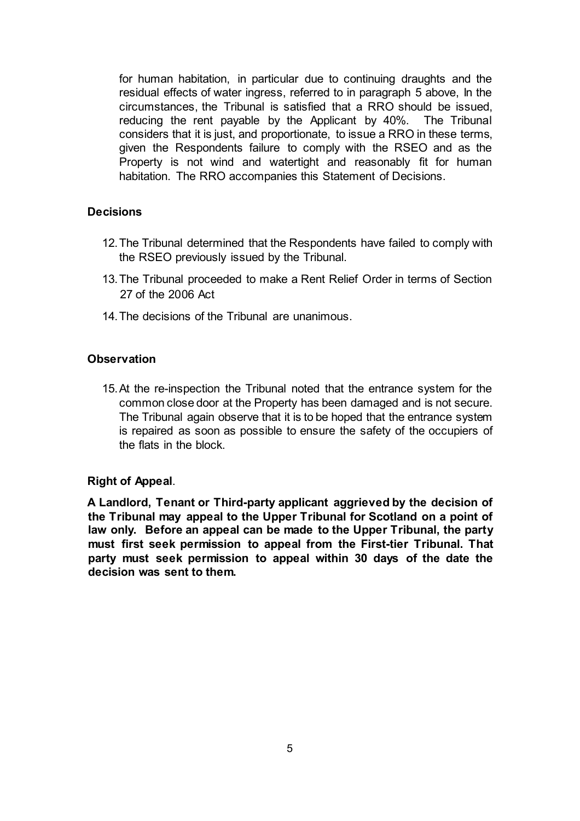for human habitation, in particular due to continuing draughts and the residual effects of water ingress, referred to in paragraph 5 above, In the circumstances, the Tribunal is satisfied that a RRO should be issued, reducing the rent payable by the Applicant by 40%. The Tribunal considers that it is just, and proportionate, to issue a RRO in these terms, given the Respondents failure to comply with the RSEO and as the Property is not wind and watertight and reasonably fit for human habitation. The RRO accompanies this Statement of Decisions.

## **Decisions**

- 12.The Tribunal determined that the Respondents have failed to comply with the RSEO previously issued by the Tribunal.
- 13.The Tribunal proceeded to make a Rent Relief Order in terms of Section 27 of the 2006 Act
- 14.The decisions of the Tribunal are unanimous.

## **Observation**

15.At the re-inspection the Tribunal noted that the entrance system for the common close door at the Property has been damaged and is not secure. The Tribunal again observe that it is to be hoped that the entrance system is repaired as soon as possible to ensure the safety of the occupiers of the flats in the block.

#### **Right of Appeal**.

**A Landlord, Tenant or Third-party applicant aggrieved by the decision of the Tribunal may appeal to the Upper Tribunal for Scotland on a point of law only. Before an appeal can be made to the Upper Tribunal, the party must first seek permission to appeal from the First-tier Tribunal. That party must seek permission to appeal within 30 days of the date the decision was sent to them.**